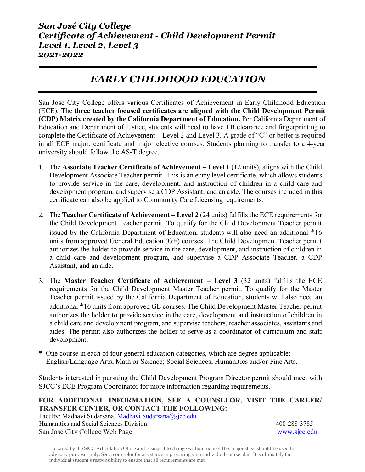# *EARLY CHILDHOOD EDUCATION*

San José City College offers various Certificates of Achievement in Early Childhood Education (ECE). The **three teacher focused certificates are aligned with the Child Development Permit (CDP) Matrix created by the California Department of Education.** Per California Department of Education and Department of Justice, students will need to have TB clearance and fingerprinting to complete the Certificate of Achievement – Level 2 and Level 3. A grade of "C" or better is required in all ECE major, certificate and major elective courses. Students planning to transfer to a 4-year university should follow the AS-T degree.

- 1. The **Associate Teacher Certificate of Achievement – Level 1** (12 units), aligns with the Child Development Associate Teacher permit. This is an entry level certificate, which allows students to provide service in the care, development, and instruction of children in a child care and development program, and supervise a CDP Assistant, and an aide. The courses included in this certificate can also be applied to Community Care Licensing requirements.
- 2. The **Teacher Certificate of Achievement – Level 2** (24 units) fulfills the ECE requirements for the Child Development Teacher permit. To qualify for the Child Development Teacher permit issued by the California Department of Education, students will also need an additional \*16 units from approved General Education (GE) courses. The Child Development Teacher permit authorizes the holder to provide service in the care, development, and instruction of children in a child care and development program, and supervise a CDP Associate Teacher, a CDP Assistant, and an aide.
- 3. The **Master Teacher Certificate of Achievement – Level 3** (32 units) fulfills the ECE requirements for the Child Development Master Teacher permit. To qualify for the Master Teacher permit issued by the California Department of Education, students will also need an additional \*16 units from approved GE courses. The Child Development Master Teacher permit authorizes the holder to provide service in the care, development and instruction of children in a child care and development program, and supervise teachers, teacher associates, assistants and aides. The permit also authorizes the holder to serve as a coordinator of curriculum and staff development.
- \* One course in each of four general education categories, which are degree applicable: English/Language Arts; Math or Science; Social Sciences; Humanities and/or Fine Arts.

Students interested in pursuing the Child Development Program Director permit should meet with SJCC's ECE Program Coordinator for more information regarding requirements.

#### **FOR ADDITIONAL INFORMATION, SEE A COUNSELOR, VISIT THE CAREER/ TRANSFER CENTER, OR CONTACT THE FOLLOWING:**

Faculty: Madhavi Sudarsana[, Madhavi.Sudarsana@sjcc.edu](mailto:Madhavi.Sudarsana@sjcc.edu) Humanities and Social Sciences Division 408-288-3785 San José City College Web Page [www.sjcc.edu](http://www.sjcc.edu/)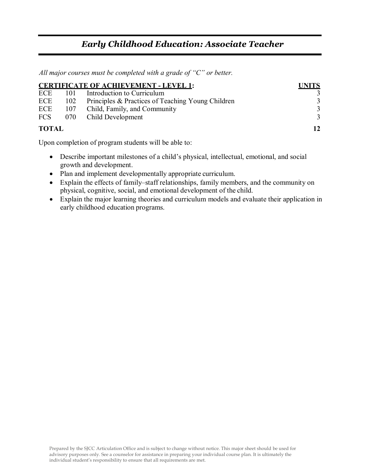### *Early Childhood Education: Associate Teacher*

 *All major courses must be completed with a grade of "C" or better.*

| <b>CERTIFICATE OF ACHIEVEMENT - LEVEL 1:</b> | <b>UNITS</b> |                                                   |   |
|----------------------------------------------|--------------|---------------------------------------------------|---|
| ECE 101                                      |              | Introduction to Curriculum                        |   |
|                                              | ECE 102      | Principles & Practices of Teaching Young Children | 3 |
| ECE                                          |              | 107 Child, Family, and Community                  | 3 |
|                                              |              | FCS 070 Child Development                         | 3 |
| <b>TOTAL</b>                                 | 12           |                                                   |   |

Upon completion of program students will be able to:

- Describe important milestones of a child's physical, intellectual, emotional, and social growth and development.
- Plan and implement developmentally appropriate curriculum.
- Explain the effects of family–staff relationships, family members, and the community on physical, cognitive, social, and emotional development of the child.
- Explain the major learning theories and curriculum models and evaluate their application in early childhood education programs.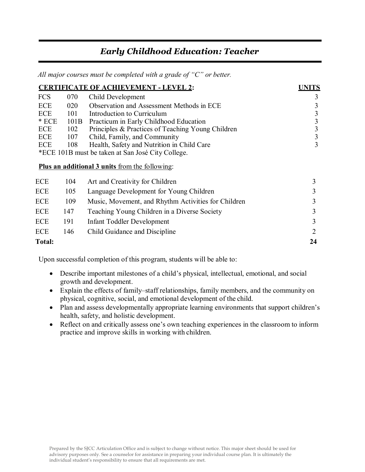## *Early Childhood Education: Teacher*

 *All major courses must be completed with a grade of "C" or better.*

| <b>CERTIFICATE OF ACHIEVEMENT - LEVEL 2:</b> |      |                                                       |    |
|----------------------------------------------|------|-------------------------------------------------------|----|
| <b>FCS</b>                                   | 070  | Child Development                                     | 3  |
| <b>ECE</b>                                   | 020  | Observation and Assessment Methods in ECE             | 3  |
| ECE                                          | 101  | Introduction to Curriculum                            | 3  |
| $*$ ECE                                      | 101B | Practicum in Early Childhood Education                | 3  |
| ECE                                          | 102  | Principles & Practices of Teaching Young Children     | 3  |
| <b>ECE</b>                                   | 107  | Child, Family, and Community                          | 3  |
| ECE                                          | 108  | Health, Safety and Nutrition in Child Care            | 3  |
|                                              |      | *ECE 101B must be taken at San José City College.     |    |
|                                              |      | <b>Plus an additional 3 units from the following:</b> |    |
| <b>ECE</b>                                   | 104  | Art and Creativity for Children                       | 3  |
| ECE                                          | 105  | Language Development for Young Children               | 3  |
| <b>ECE</b>                                   | 109  | Music, Movement, and Rhythm Activities for Children   | 3  |
| <b>ECE</b>                                   | 147  | Teaching Young Children in a Diverse Society          | 3  |
| ECE                                          | 191  | Infant Toddler Development                            | 3  |
| ECE                                          | 146  | Child Guidance and Discipline                         | 2  |
| <b>Total:</b>                                |      |                                                       | 24 |

Upon successful completion of this program, students will be able to:

- Describe important milestones of a child's physical, intellectual, emotional, and social growth and development.
- Explain the effects of family–staff relationships, family members, and the community on physical, cognitive, social, and emotional development of the child.
- Plan and assess developmentally appropriate learning environments that support children's health, safety, and holistic development.
- Reflect on and critically assess one's own teaching experiences in the classroom to inform practice and improve skills in working with children.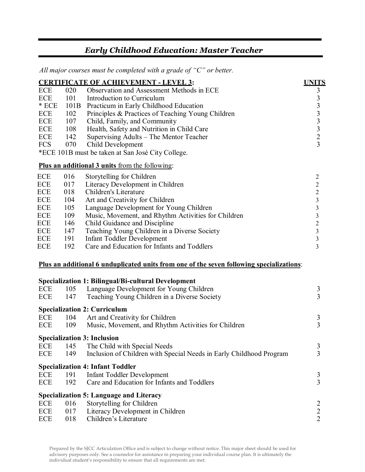# *Early Childhood Education: Master Teacher*

 *All major courses must be completed with a grade of "C" or better.*

|            |      | <b>CERTIFICATE OF ACHIEVEMENT - LEVEL 3:</b>                                                    | <b>UNITS</b>                               |
|------------|------|-------------------------------------------------------------------------------------------------|--------------------------------------------|
| ECE        | 020  | Observation and Assessment Methods in ECE                                                       |                                            |
| ECE        | 101  | Introduction to Curriculum                                                                      | $\begin{array}{c} 3 \\ 3 \\ 3 \end{array}$ |
| $\,^*$ ECE | 101B | Practicum in Early Childhood Education                                                          |                                            |
| ECE        | 102  | Principles & Practices of Teaching Young Children                                               | $\mathfrak{Z}$                             |
| ECE        | 107  | Child, Family, and Community                                                                    | $\mathfrak{Z}$                             |
| ECE        | 108  | Health, Safety and Nutrition in Child Care                                                      | $\overline{3}$                             |
| ECE        | 142  | Supervising Adults - The Mentor Teacher                                                         | $\overline{2}$                             |
| <b>FCS</b> | 070  | Child Development                                                                               | $\overline{3}$                             |
|            |      | *ECE 101B must be taken at San José City College.                                               |                                            |
|            |      | <b>Plus an additional 3 units from the following:</b>                                           |                                            |
| ECE        | 016  | Storytelling for Children                                                                       | $\overline{2}$                             |
| ECE        | 017  | Literacy Development in Children                                                                | $\overline{2}$                             |
| ECE        | 018  | Children's Literature                                                                           | $\mathbf{2}$                               |
| ECE        | 104  | Art and Creativity for Children                                                                 | $\overline{\mathbf{3}}$                    |
| <b>ECE</b> | 105  | Language Development for Young Children                                                         | $\overline{\mathbf{3}}$                    |
| ECE        | 109  | Music, Movement, and Rhythm Activities for Children                                             | $\overline{\mathbf{3}}$                    |
| ECE        | 146  | Child Guidance and Discipline                                                                   | $\overline{2}$                             |
| ECE        | 147  | Teaching Young Children in a Diverse Society                                                    | $\overline{\mathbf{3}}$                    |
| ECE        | 191  | <b>Infant Toddler Development</b>                                                               | $\overline{\mathbf{3}}$                    |
| ECE        | 192  | Care and Education for Infants and Toddlers                                                     | $\overline{3}$                             |
|            |      | <u>Plus an additional 6 unduplicated units from one of the seven following specializations:</u> |                                            |
|            |      | <b>Specialization 1: Bilingual/Bi-cultural Development</b>                                      |                                            |
| <b>ECE</b> | 105  | Language Development for Young Children                                                         | 3                                          |
| <b>ECE</b> | 147  | Teaching Young Children in a Diverse Society                                                    | 3                                          |
|            |      | <b>Specialization 2: Curriculum</b>                                                             |                                            |
| ECE        | 104  | Art and Creativity for Children                                                                 | 3                                          |
| <b>ECE</b> | 109  | Music, Movement, and Rhythm Activities for Children                                             | 3                                          |
|            |      | <b>Specialization 3: Inclusion</b>                                                              |                                            |
| <b>ECE</b> | 145  | The Child with Special Needs                                                                    | 3                                          |
| <b>ECE</b> | 149  | Inclusion of Children with Special Needs in Early Childhood Program                             | 3                                          |
|            |      | <b>Specialization 4: Infant Toddler</b>                                                         |                                            |
| ECE        | 191  | <b>Infant Toddler Development</b>                                                               | 3                                          |
| <b>ECE</b> | 192  | Care and Education for Infants and Toddlers                                                     | 3                                          |
|            |      | <b>Specialization 5: Language and Literacy</b>                                                  |                                            |
| ECE        | 016  | Storytelling for Children                                                                       | $\overline{c}$                             |
| <b>ECE</b> | 017  | Literacy Development in Children                                                                | $\frac{2}{2}$                              |
| <b>ECE</b> | 018  | Children's Literature                                                                           |                                            |
|            |      |                                                                                                 |                                            |